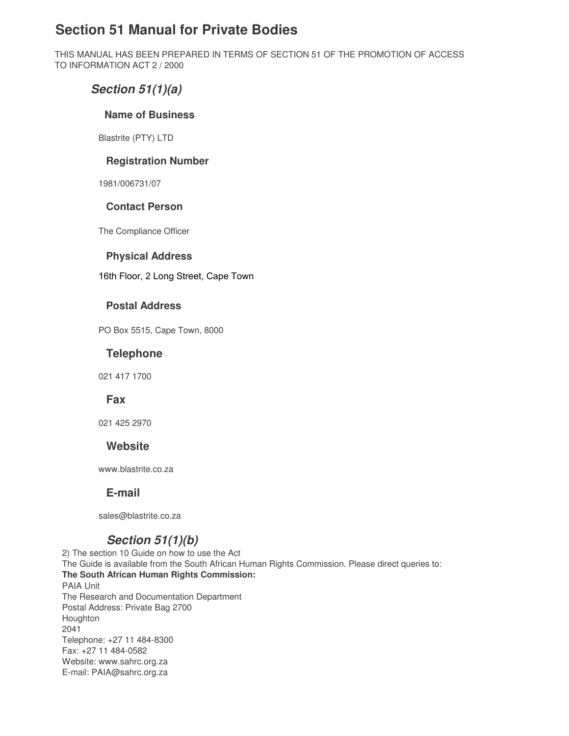# **Section 51 Manual for Private Bodies**

THIS MANUAL HAS BEEN PREPARED IN TERMS OF SECTION 51 OF THE PROMOTION OF ACCESS TO INFORMATION ACT 2 / 2000

## *Section 51(1)(a)*

### **Name of Business**

Blastrite (PTY) LTD

## **Registration Number**

1981/006731/07

## **Contact Person**

The Compliance Officer

#### **Physical Address**

16th Floor, 2 Long Street, Cape Town

### **Postal Address**

PO Box 5515, Cape Town, 8000

## **Telephone**

021 417 1700

**Fax**

021 425 2970

## **Website**

www.blastrite.co.za

## **E-mail**

sales@blastrite.co.za

## *Section 51(1)(b)*

2) The section 10 Guide on how to use the Act The Guide is available from the South African Human Rights Commission. Please direct queries to: **The South African Human Rights Commission:** PAIA Unit The Research and Documentation Department Postal Address: Private Bag 2700 Houghton 2041 Telephone: +27 11 484-8300 Fax: +27 11 484-0582 Website: www.sahrc.org.za E-mail: PAIA@sahrc.org.za